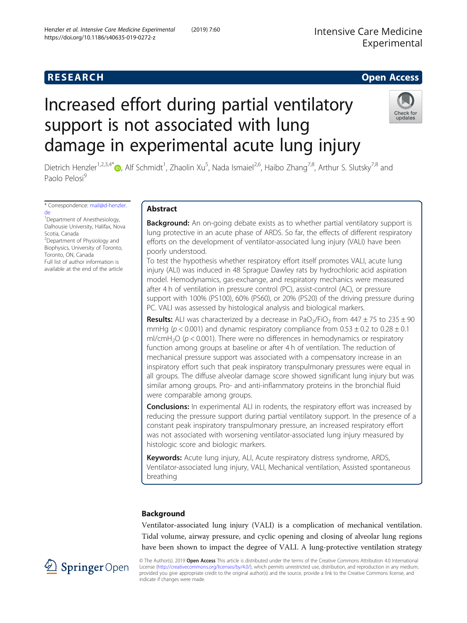## **RESEARCH CHE CHE Open Access**

# Increased effort during partial ventilatory support is not associated with lung damage in experimental acute lung injury



Dietrich Henzler<sup>1[,](http://orcid.org/0000-0001-5511-6885)2,3,4\*</sup>®, Alf Schmidt<sup>1</sup>, Zhaolin Xu<sup>5</sup>, Nada Ismaiel<sup>2,6</sup>, Haibo Zhang<sup>7,8</sup>, Arthur S. Slutsky<sup>7,8</sup> and Paolo Pelosi<sup>9</sup>

\* Correspondence: [mail@d-henzler.](mailto:mail@d-henzler.de) [de](mailto:mail@d-henzler.de) <sup>1</sup> Department of Anesthesiology, Dalhousie University, Halifax, Nova Scotia, Canada <sup>2</sup>Department of Physiology and Biophysics, University of Toronto, Toronto, ON, Canada Full list of author information is available at the end of the article

## Abstract

**Background:** An on-going debate exists as to whether partial ventilatory support is lung protective in an acute phase of ARDS. So far, the effects of different respiratory efforts on the development of ventilator-associated lung injury (VALI) have been poorly understood.

To test the hypothesis whether respiratory effort itself promotes VALI, acute lung injury (ALI) was induced in 48 Sprague Dawley rats by hydrochloric acid aspiration model. Hemodynamics, gas-exchange, and respiratory mechanics were measured after 4 h of ventilation in pressure control (PC), assist-control (AC), or pressure support with 100% (PS100), 60% (PS60), or 20% (PS20) of the driving pressure during PC. VALI was assessed by histological analysis and biological markers.

**Results:** ALI was characterized by a decrease in PaO<sub>2</sub>/FiO<sub>2</sub> from  $447 \pm 75$  to  $235 \pm 90$ mmHg ( $p < 0.001$ ) and dynamic respiratory compliance from  $0.53 \pm 0.2$  to  $0.28 \pm 0.1$ ml/cmH<sub>2</sub>O ( $p < 0.001$ ). There were no differences in hemodynamics or respiratory function among groups at baseline or after 4 h of ventilation. The reduction of mechanical pressure support was associated with a compensatory increase in an inspiratory effort such that peak inspiratory transpulmonary pressures were equal in all groups. The diffuse alveolar damage score showed significant lung injury but was similar among groups. Pro- and anti-inflammatory proteins in the bronchial fluid were comparable among groups.

**Conclusions:** In experimental ALI in rodents, the respiratory effort was increased by reducing the pressure support during partial ventilatory support. In the presence of a constant peak inspiratory transpulmonary pressure, an increased respiratory effort was not associated with worsening ventilator-associated lung injury measured by histologic score and biologic markers.

Keywords: Acute lung injury, ALI, Acute respiratory distress syndrome, ARDS, Ventilator-associated lung injury, VALI, Mechanical ventilation, Assisted spontaneous breathing

## Background

Ventilator-associated lung injury (VALI) is a complication of mechanical ventilation. Tidal volume, airway pressure, and cyclic opening and closing of alveolar lung regions have been shown to impact the degree of VALI. A lung-protective ventilation strategy



© The Author(s). 2019 Open Access This article is distributed under the terms of the Creative Commons Attribution 4.0 International License [\(http://creativecommons.org/licenses/by/4.0/](http://creativecommons.org/licenses/by/4.0/)), which permits unrestricted use, distribution, and reproduction in any medium, provided you give appropriate credit to the original author(s) and the source, provide a link to the Creative Commons license, and indicate if changes were made.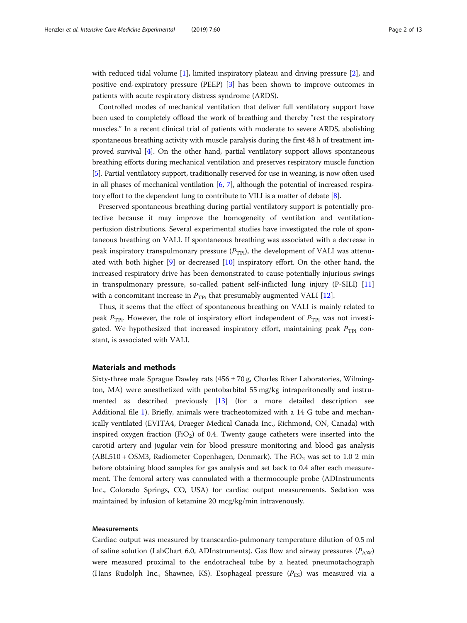with reduced tidal volume [\[1](#page-11-0)], limited inspiratory plateau and driving pressure [\[2\]](#page-11-0), and positive end-expiratory pressure (PEEP) [[3](#page-11-0)] has been shown to improve outcomes in patients with acute respiratory distress syndrome (ARDS).

Controlled modes of mechanical ventilation that deliver full ventilatory support have been used to completely offload the work of breathing and thereby "rest the respiratory muscles." In a recent clinical trial of patients with moderate to severe ARDS, abolishing spontaneous breathing activity with muscle paralysis during the first 48 h of treatment improved survival [\[4](#page-11-0)]. On the other hand, partial ventilatory support allows spontaneous breathing efforts during mechanical ventilation and preserves respiratory muscle function [[5\]](#page-11-0). Partial ventilatory support, traditionally reserved for use in weaning, is now often used in all phases of mechanical ventilation  $[6, 7]$  $[6, 7]$  $[6, 7]$ , although the potential of increased respiratory effort to the dependent lung to contribute to VILI is a matter of debate [\[8](#page-12-0)].

Preserved spontaneous breathing during partial ventilatory support is potentially protective because it may improve the homogeneity of ventilation and ventilationperfusion distributions. Several experimental studies have investigated the role of spontaneous breathing on VALI. If spontaneous breathing was associated with a decrease in peak inspiratory transpulmonary pressure  $(P_{TPi})$ , the development of VALI was attenuated with both higher [[9\]](#page-12-0) or decreased [[10\]](#page-12-0) inspiratory effort. On the other hand, the increased respiratory drive has been demonstrated to cause potentially injurious swings in transpulmonary pressure, so-called patient self-inflicted lung injury (P-SILI) [[11](#page-12-0)] with a concomitant increase in  $P_{\text{TPi}}$  that presumably augmented VALI [\[12\]](#page-12-0).

Thus, it seems that the effect of spontaneous breathing on VALI is mainly related to peak  $P_{\text{TPi}}$ . However, the role of inspiratory effort independent of  $P_{\text{TPi}}$  was not investigated. We hypothesized that increased inspiratory effort, maintaining peak  $P_{\text{TPi}}$  constant, is associated with VALI.

### Materials and methods

Sixty-three male Sprague Dawley rats  $(456 \pm 70 \text{ g})$ , Charles River Laboratories, Wilmington, MA) were anesthetized with pentobarbital 55 mg/kg intraperitoneally and instrumented as described previously [[13](#page-12-0)] (for a more detailed description see Additional file [1\)](#page-10-0). Briefly, animals were tracheotomized with a 14 G tube and mechanically ventilated (EVITA4, Draeger Medical Canada Inc., Richmond, ON, Canada) with inspired oxygen fraction (FiO<sub>2</sub>) of 0.4. Twenty gauge catheters were inserted into the carotid artery and jugular vein for blood pressure monitoring and blood gas analysis (ABL510 + OSM3, Radiometer Copenhagen, Denmark). The  $FiO<sub>2</sub>$  was set to 1.0 2 min before obtaining blood samples for gas analysis and set back to 0.4 after each measurement. The femoral artery was cannulated with a thermocouple probe (ADInstruments Inc., Colorado Springs, CO, USA) for cardiac output measurements. Sedation was maintained by infusion of ketamine 20 mcg/kg/min intravenously.

#### Measurements

Cardiac output was measured by transcardio-pulmonary temperature dilution of 0.5 ml of saline solution (LabChart 6.0, ADInstruments). Gas flow and airway pressures  $(P_{AW})$ were measured proximal to the endotracheal tube by a heated pneumotachograph (Hans Rudolph Inc., Shawnee, KS). Esophageal pressure  $(P_{ES})$  was measured via a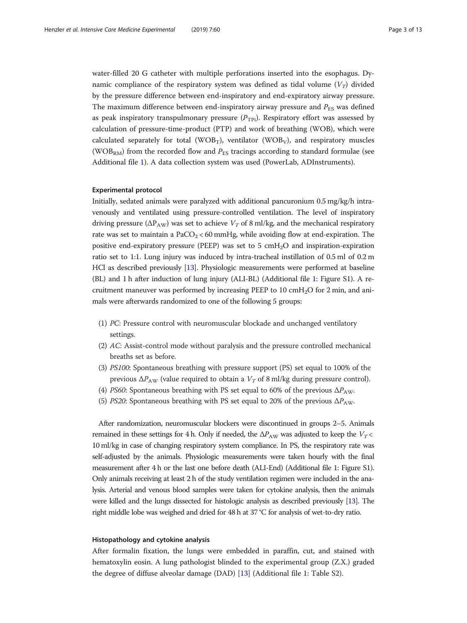water-filled 20 G catheter with multiple perforations inserted into the esophagus. Dynamic compliance of the respiratory system was defined as tidal volume  $(V_T)$  divided by the pressure difference between end-inspiratory and end-expiratory airway pressure. The maximum difference between end-inspiratory airway pressure and  $P_{ES}$  was defined as peak inspiratory transpulmonary pressure  $(P_{\text{TPi}})$ . Respiratory effort was assessed by calculation of pressure-time-product (PTP) and work of breathing (WOB), which were calculated separately for total (WOB<sub>T</sub>), ventilator (WOB<sub>V</sub>), and respiratory muscles (WOB<sub>RM</sub>) from the recorded flow and  $P_{ES}$  tracings according to standard formulae (see Additional file [1\)](#page-10-0). A data collection system was used (PowerLab, ADInstruments).

#### Experimental protocol

Initially, sedated animals were paralyzed with additional pancuronium 0.5 mg/kg/h intravenously and ventilated using pressure-controlled ventilation. The level of inspiratory driving pressure ( $\Delta P_{AW}$ ) was set to achieve  $V_T$  of 8 ml/kg, and the mechanical respiratory rate was set to maintain a  $PaCO<sub>2</sub> < 60$  mmHg, while avoiding flow at end-expiration. The positive end-expiratory pressure (PEEP) was set to 5  $\text{cm}H_2\text{O}$  and inspiration-expiration ratio set to 1:1. Lung injury was induced by intra-tracheal instillation of 0.5 ml of 0.2 m HCl as described previously [\[13\]](#page-12-0). Physiologic measurements were performed at baseline (BL) and 1 h after induction of lung injury (ALI-BL) (Additional file [1](#page-10-0): Figure S1). A recruitment maneuver was performed by increasing PEEP to 10  $\text{cm}H_2\text{O}$  for 2 min, and animals were afterwards randomized to one of the following 5 groups:

- (1) PC: Pressure control with neuromuscular blockade and unchanged ventilatory settings.
- (2) AC: Assist-control mode without paralysis and the pressure controlled mechanical breaths set as before.
- (3) PS100: Spontaneous breathing with pressure support (PS) set equal to 100% of the previous  $\Delta P_{\rm AW}$  (value required to obtain a  $V_T$  of 8 ml/kg during pressure control).
- (4) PS60: Spontaneous breathing with PS set equal to 60% of the previous  $\Delta P_{\rm AW}$ .
- (5) PS20: Spontaneous breathing with PS set equal to 20% of the previous  $\Delta P_{\rm AW}$ .

After randomization, neuromuscular blockers were discontinued in groups 2–5. Animals remained in these settings for 4 h. Only if needed, the  $\Delta P_{\rm AW}$  was adjusted to keep the  $V_T$ 10 ml/kg in case of changing respiratory system compliance. In PS, the respiratory rate was self-adjusted by the animals. Physiologic measurements were taken hourly with the final measurement after 4 h or the last one before death (ALI-End) (Additional file [1](#page-10-0): Figure S1). Only animals receiving at least 2 h of the study ventilation regimen were included in the analysis. Arterial and venous blood samples were taken for cytokine analysis, then the animals were killed and the lungs dissected for histologic analysis as described previously [\[13](#page-12-0)]. The right middle lobe was weighed and dried for 48 h at 37 °C for analysis of wet-to-dry ratio.

#### Histopathology and cytokine analysis

After formalin fixation, the lungs were embedded in paraffin, cut, and stained with hematoxylin eosin. A lung pathologist blinded to the experimental group (Z.X.) graded the degree of diffuse alveolar damage (DAD) [[13](#page-12-0)] (Additional file [1:](#page-10-0) Table S2).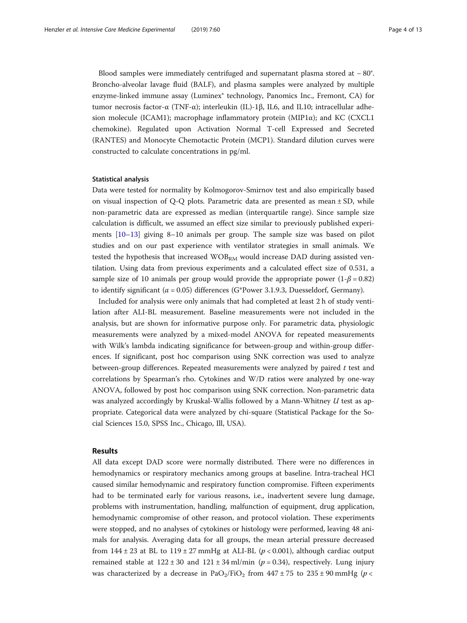Blood samples were immediately centrifuged and supernatant plasma stored at − 80°. Broncho-alveolar lavage fluid (BALF), and plasma samples were analyzed by multiple enzyme-linked immune assay (Luminex® technology, Panomics Inc., Fremont, CA) for tumor necrosis factor-α (TNF-α); interleukin (IL)-1β, IL6, and IL10; intracellular adhesion molecule (ICAM1); macrophage inflammatory protein (MIP1 $\alpha$ ); and KC (CXCL1 chemokine). Regulated upon Activation Normal T-cell Expressed and Secreted (RANTES) and Monocyte Chemotactic Protein (MCP1). Standard dilution curves were constructed to calculate concentrations in pg/ml.

#### Statistical analysis

Data were tested for normality by Kolmogorov-Smirnov test and also empirically based on visual inspection of Q-Q plots. Parametric data are presented as mean ± SD, while non-parametric data are expressed as median (interquartile range). Since sample size calculation is difficult, we assumed an effect size similar to previously published experiments [\[10](#page-12-0)–[13\]](#page-12-0) giving 8–10 animals per group. The sample size was based on pilot studies and on our past experience with ventilator strategies in small animals. We tested the hypothesis that increased WOB<sub>RM</sub> would increase DAD during assisted ventilation. Using data from previous experiments and a calculated effect size of 0.531, a sample size of 10 animals per group would provide the appropriate power  $(1-\beta = 0.82)$ to identify significant ( $\alpha$  = 0.05) differences (G\*Power 3.1.9.3, Duesseldorf, Germany).

Included for analysis were only animals that had completed at least 2 h of study ventilation after ALI-BL measurement. Baseline measurements were not included in the analysis, but are shown for informative purpose only. For parametric data, physiologic measurements were analyzed by a mixed-model ANOVA for repeated measurements with Wilk's lambda indicating significance for between-group and within-group differences. If significant, post hoc comparison using SNK correction was used to analyze between-group differences. Repeated measurements were analyzed by paired  $t$  test and correlations by Spearman's rho. Cytokines and W/D ratios were analyzed by one-way ANOVA, followed by post hoc comparison using SNK correction. Non-parametric data was analyzed accordingly by Kruskal-Wallis followed by a Mann-Whitney U test as appropriate. Categorical data were analyzed by chi-square (Statistical Package for the Social Sciences 15.0, SPSS Inc., Chicago, Ill, USA).

## Results

All data except DAD score were normally distributed. There were no differences in hemodynamics or respiratory mechanics among groups at baseline. Intra-tracheal HCl caused similar hemodynamic and respiratory function compromise. Fifteen experiments had to be terminated early for various reasons, i.e., inadvertent severe lung damage, problems with instrumentation, handling, malfunction of equipment, drug application, hemodynamic compromise of other reason, and protocol violation. These experiments were stopped, and no analyses of cytokines or histology were performed, leaving 48 animals for analysis. Averaging data for all groups, the mean arterial pressure decreased from  $144 \pm 23$  at BL to  $119 \pm 27$  mmHg at ALI-BL ( $p < 0.001$ ), although cardiac output remained stable at  $122 \pm 30$  and  $121 \pm 34$  ml/min ( $p = 0.34$ ), respectively. Lung injury was characterized by a decrease in PaO<sub>2</sub>/FiO<sub>2</sub> from  $447 \pm 75$  to  $235 \pm 90$  mmHg (p <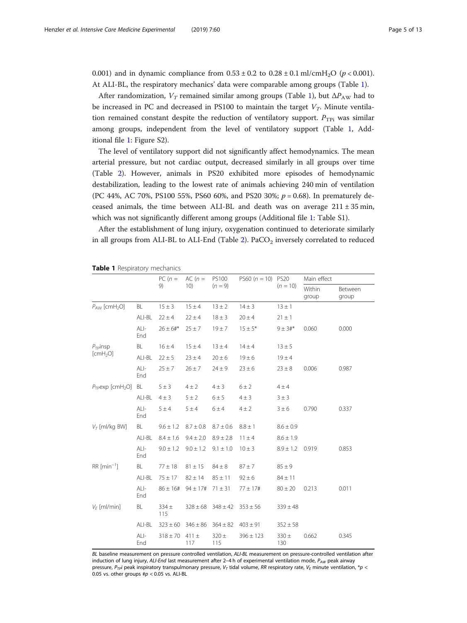0.001) and in dynamic compliance from  $0.53 \pm 0.2$  to  $0.28 \pm 0.1$  ml/cmH<sub>2</sub>O ( $p < 0.001$ ). At ALI-BL, the respiratory mechanics' data were comparable among groups (Table 1).

After randomization,  $V_T$  remained similar among groups (Table 1), but  $\Delta P_{\rm AW}$  had to be increased in PC and decreased in PS100 to maintain the target  $V_T$ . Minute ventilation remained constant despite the reduction of ventilatory support.  $P_{\text{TPi}}$  was similar among groups, independent from the level of ventilatory support (Table 1, Additional file [1:](#page-10-0) Figure S2).

The level of ventilatory support did not significantly affect hemodynamics. The mean arterial pressure, but not cardiac output, decreased similarly in all groups over time (Table [2](#page-5-0)). However, animals in PS20 exhibited more episodes of hemodynamic destabilization, leading to the lowest rate of animals achieving 240 min of ventilation (PC 44%, AC 70%, PS100 55%, PS60 60%, and PS20 30%;  $p = 0.68$ ). In prematurely deceased animals, the time between ALI-BL and death was on average  $211 \pm 35$  min, which was not significantly different among groups (Additional file [1:](#page-10-0) Table S1).

After the establishment of lung injury, oxygenation continued to deteriorate similarly in all groups from ALI-BL to ALI-End (Table [2\)](#page-5-0).  $PaCO<sub>2</sub>$  inversely correlated to reduced

|  |  | Table 1 Respiratory mechanics |  |
|--|--|-------------------------------|--|
|--|--|-------------------------------|--|

|                                              |               | $PC(n=$          | $AC(n =$         | <b>PS100</b>     | PS60 $(n = 10)$ PS20 | $(n = 10)$       | Main effect     |                  |
|----------------------------------------------|---------------|------------------|------------------|------------------|----------------------|------------------|-----------------|------------------|
|                                              |               | 9)               | 10)              | $(n = 9)$        |                      |                  | Within<br>group | Between<br>group |
| $P_{AW}$ [cmH <sub>2</sub> O]                | BL            | $15 \pm 3$       | $15 \pm 4$       | $13 \pm 2$       | $14 \pm 3$           | $13 \pm 1$       |                 |                  |
|                                              | ALI-BL        | $22 \pm 4$       | $22 \pm 4$       | $18 \pm 3$       | $20 \pm 4$           | $21 \pm 1$       |                 |                  |
|                                              | $ALI-$<br>End | $26 \pm 6#$ *    | $25 \pm 7$       | $19 + 7$         | $15 \pm 5*$          | $9 ± 3#$ *       | 0.060           | 0.000            |
| $P_{\text{Tp}}$ insp<br>[cmH <sub>2</sub> O] | BL            | $16 \pm 4$       | $15 \pm 4$       | $13 \pm 4$       | $14 + 4$             | $13 \pm 5$       |                 |                  |
|                                              | ALI-BL        | $22 \pm 5$       | $23 \pm 4$       | $20 \pm 6$       | $19 \pm 6$           | $19 \pm 4$       |                 |                  |
|                                              | $ALI-$<br>End | $25 \pm 7$       | $26 \pm 7$       | $24 \pm 9$       | $23 \pm 6$           | $23 \pm 8$       | 0.006           | 0.987            |
| $P_{TP}$ exp [cmH <sub>2</sub> O]            | BL            | $5 \pm 3$        | $4 \pm 2$        | $4 \pm 3$        | $6 \pm 2$            | $4 \pm 4$        |                 |                  |
|                                              | ALI-BL        | $4 \pm 3$        | $5 \pm 2$        | $6 \pm 5$        | $4 \pm 3$            | 3 ± 3            |                 |                  |
|                                              | ALI-<br>End   | 5±4              | $5 \pm 4$        | 6±4              | $4 \pm 2$            | $3 \pm 6$        | 0.790           | 0.337            |
| $V\tau$ [ml/kg BW]                           | BL            | $9.6 \pm 1.2$    | $8.7 \pm 0.8$    | $8.7 \pm 0.6$    | $8.8 \pm 1$          | $8.6 \pm 0.9$    |                 |                  |
|                                              | ALI-BL        | $8.4 \pm 1.6$    | $9.4 \pm 2.0$    | $8.9 \pm 2.8$    | $11 \pm 4$           | $8.6 \pm 1.9$    |                 |                  |
|                                              | $ALI-$<br>End | $9.0 \pm 1.2$    | $9.0 \pm 1.2$    | $9.1 \pm 1.0$    | $10 \pm 3$           | $8.9 \pm 1.2$    | 0.919           | 0.853            |
| $RR$ [min <sup>-1</sup> ]                    | BL            | $77 \pm 18$      | $81 \pm 15$      | $84 \pm 8$       | $87 + 7$             | $85 \pm 9$       |                 |                  |
|                                              | ALI-BL        | $75 \pm 17$      | $82 \pm 14$      | $85 \pm 11$      | $92 \pm 6$           | $84 \pm 11$      |                 |                  |
|                                              | $ALI-$<br>End | $86 \pm 16#$     | $94 \pm 17$ #    | $71 \pm 31$      | $77 \pm 17$ #        | $80 \pm 20$      | 0.213           | 0.011            |
| $V_F$ [ml/min]                               | BL            | $334 \pm$<br>115 | $328 \pm 68$     | $348 \pm 42$     | $353 \pm 56$         | $339 \pm 48$     |                 |                  |
|                                              | ALI-BL        | $323 \pm 60$     | $346 \pm 86$     | $364 \pm 82$     | $403 \pm 91$         | $352 \pm 58$     |                 |                  |
|                                              | ALI-<br>End   | $318 \pm 70$     | 411 $\pm$<br>117 | $320 \pm$<br>115 | $396 \pm 123$        | $330 \pm$<br>130 | 0.662           | 0.345            |

BL baseline measurement on pressure controlled ventilation, ALI-BL measurement on pressure-controlled ventilation after induction of lung injury, ALI-End last measurement after 2-4 h of experimental ventilation mode,  $P_{AW}$  peak airway pressure,  $P_{\text{TP}}$ i peak inspiratory transpulmonary pressure,  $V_T$  tidal volume, RR respiratory rate,  $V_F$  minute ventilation,  $*_P$  < 0.05 vs. other groups  $\text{\#p}$  < 0.05 vs. ALI-BL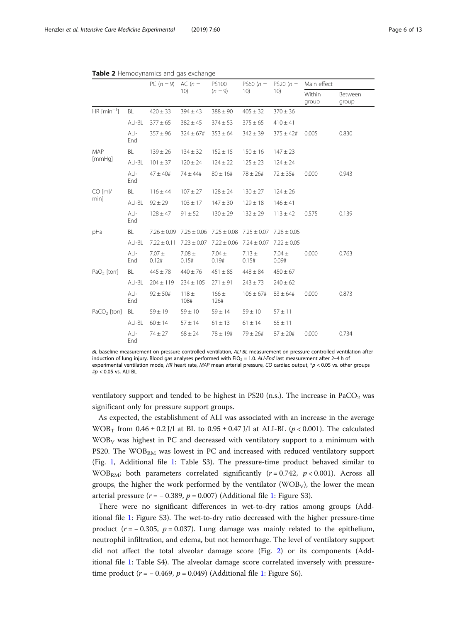<span id="page-5-0"></span>Table 2 Hemodynamics and gas exchange

|                                    |               | $PC (n = 9)$      | $AC(n=$                                                         | PS100<br>$(n = 9)$                              | PS60 $(n =$<br>10)  | $PS20 (n =$<br>10)  | Main effect     |                  |
|------------------------------------|---------------|-------------------|-----------------------------------------------------------------|-------------------------------------------------|---------------------|---------------------|-----------------|------------------|
|                                    |               |                   | 10)                                                             |                                                 |                     |                     | Within<br>group | Between<br>group |
| HR $\lceil \text{min}^{-1} \rceil$ | BL            | $420 \pm 33$      | $394 \pm 43$                                                    | $388 \pm 90$                                    | $405 \pm 32$        | $370 \pm 36$        |                 |                  |
|                                    | ALI-BL        | $377 \pm 65$      | $382 \pm 45$                                                    | $374 \pm 53$                                    | $375 \pm 65$        | $410 \pm 41$        |                 |                  |
|                                    | $ALI-$<br>End | $357 \pm 96$      | $324 \pm 67#$                                                   | $353 \pm 64$                                    | $342 \pm 39$        | $375 \pm 42$ #      | 0.005           | 0.830            |
| MAP<br>[mmHq]                      | BL            | $139 \pm 26$      | $134 \pm 32$                                                    | $152 \pm 15$                                    | $150 \pm 16$        | $147 \pm 23$        |                 |                  |
|                                    | ALI-BL        | $101 \pm 37$      | $120 \pm 24$                                                    | $124 \pm 22$                                    | $125 \pm 23$        | $124 \pm 24$        |                 |                  |
|                                    | ALI-<br>End   | $47 \pm 40$ #     | $74 \pm 44$ #                                                   | $80 \pm 16#$                                    | $78 \pm 26#$        | $72 \pm 35#$        | 0.000           | 0.943            |
| $CO$ [ml/<br>min]                  | BL            | $116 \pm 44$      | $107 \pm 27$                                                    | $128 \pm 24$                                    | $130 \pm 27$        | $124 \pm 26$        |                 |                  |
|                                    | ALI-BL        | $92 \pm 29$       | $103 \pm 17$                                                    | $147 \pm 30$                                    | $129 \pm 18$        | $146 \pm 41$        |                 |                  |
|                                    | $ALI-$<br>End | $128 \pm 47$      | $91 \pm 52$                                                     | $130 \pm 29$                                    | $132 \pm 29$        | $113 \pm 42$        | 0.575           | 0.139            |
| pHa                                | BL            |                   | $7.26 \pm 0.09$ $7.26 \pm 0.06$ $7.25 \pm 0.08$ $7.25 \pm 0.07$ |                                                 |                     | $7.28 \pm 0.05$     |                 |                  |
|                                    | ALI-BL        | $7.22 \pm 0.11$   |                                                                 | $7.23 \pm 0.07$ $7.22 \pm 0.06$ $7.24 \pm 0.07$ |                     | $7.22 \pm 0.05$     |                 |                  |
|                                    | $ALI-$<br>End | $7.07 +$<br>0.12# | $7.08 \pm$<br>0.15#                                             | $7.04 \pm$<br>0.19#                             | $7.13 \pm$<br>0.15# | $7.04 \pm$<br>0.09# | 0.000           | 0.763            |
| $PaO2$ [torr]                      | BL            | $445 \pm 78$      | $440 \pm 76$                                                    | $451 \pm 85$                                    | $448 \pm 84$        | $450 \pm 67$        |                 |                  |
|                                    | ALI-BL        | $204 \pm 119$     | $234 \pm 105$                                                   | $271 \pm 91$                                    | $243 \pm 73$        | $240 \pm 62$        |                 |                  |
|                                    | $ALI-$<br>End | $92 \pm 50#$      | 118±<br>108#                                                    | $166 \pm$<br>126#                               | $106 \pm 67#$       | $83 \pm 64#$        | 0.000           | 0.873            |
| $PaCO2$ [torr]                     | BL            | $59 \pm 19$       | $59 \pm 10$                                                     | $59 \pm 14$                                     | $59 \pm 10$         | $57 + 11$           |                 |                  |
|                                    | ALI-BL        | $60 \pm 14$       | $57 \pm 14$                                                     | $61 \pm 13$                                     | $61 \pm 14$         | $65 \pm 11$         |                 |                  |
|                                    | ALI-<br>End   | $74 \pm 27$       | $68 \pm 24$                                                     | $78 \pm 19#$                                    | $79 \pm 26#$        | $87 \pm 20$ #       | 0.000           | 0.734            |

BL baseline measurement on pressure controlled ventilation, ALI-BL measurement on pressure-controlled ventilation after induction of lung injury. Blood gas analyses performed with FiO<sub>2</sub> = 1.0. ALI-End last measurement after 2-4 h of experimental ventilation mode, HR heart rate, MAP mean arterial pressure, CO cardiac output, \*p < 0.05 vs. other groups #p < 0.05 vs. ALI-BL

ventilatory support and tended to be highest in PS20 (n.s.). The increase in PaCO<sub>2</sub> was significant only for pressure support groups.

As expected, the establishment of ALI was associated with an increase in the average WOB<sub>T</sub> from  $0.46 \pm 0.2$  J/l at BL to  $0.95 \pm 0.47$  J/l at ALI-BL ( $p < 0.001$ ). The calculated  $WOB<sub>V</sub>$  was highest in PC and decreased with ventilatory support to a minimum with PS20. The WOB<sub>RM</sub> was lowest in PC and increased with reduced ventilatory support (Fig. [1](#page-6-0), Additional file [1](#page-10-0): Table S3). The pressure-time product behaved similar to WOB<sub>RM</sub>; both parameters correlated significantly  $(r = 0.742, p < 0.001)$ . Across all groups, the higher the work performed by the ventilator  $(WOB<sub>V</sub>)$ , the lower the mean arterial pressure ( $r = -0.389$ ,  $p = 0.007$ ) (Additional file [1:](#page-10-0) Figure S3).

There were no significant differences in wet-to-dry ratios among groups (Additional file [1:](#page-10-0) Figure S3). The wet-to-dry ratio decreased with the higher pressure-time product  $(r = -0.305, p = 0.037)$ . Lung damage was mainly related to the epithelium, neutrophil infiltration, and edema, but not hemorrhage. The level of ventilatory support did not affect the total alveolar damage score (Fig. [2](#page-6-0)) or its components (Additional file [1:](#page-10-0) Table S4). The alveolar damage score correlated inversely with pressuretime product ( $r = -0.469$ ,  $p = 0.049$ ) (Additional file [1](#page-10-0): Figure S6).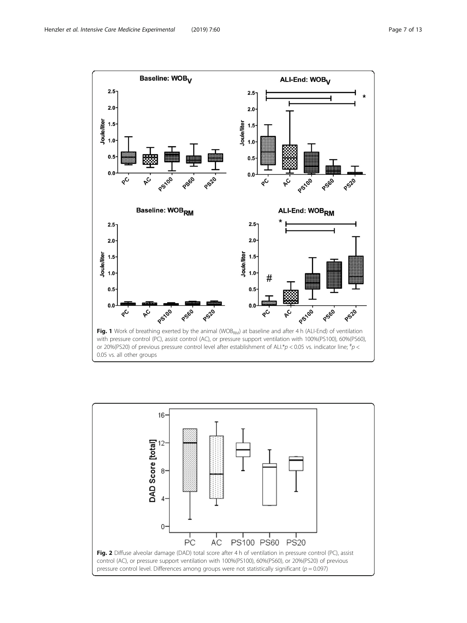<span id="page-6-0"></span>

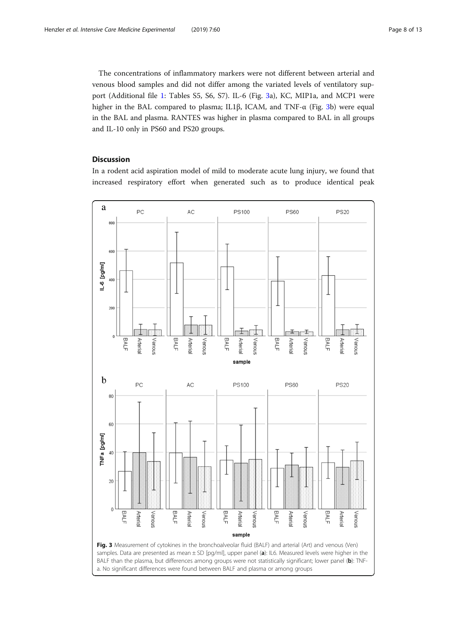The concentrations of inflammatory markers were not different between arterial and venous blood samples and did not differ among the variated levels of ventilatory support (Additional file [1:](#page-10-0) Tables S5, S6, S7). IL-6 (Fig. 3a), KC, MIP1a, and MCP1 were higher in the BAL compared to plasma; IL1β, ICAM, and TNF-α (Fig. 3b) were equal in the BAL and plasma. RANTES was higher in plasma compared to BAL in all groups and IL-10 only in PS60 and PS20 groups.

## **Discussion**

In a rodent acid aspiration model of mild to moderate acute lung injury, we found that increased respiratory effort when generated such as to produce identical peak

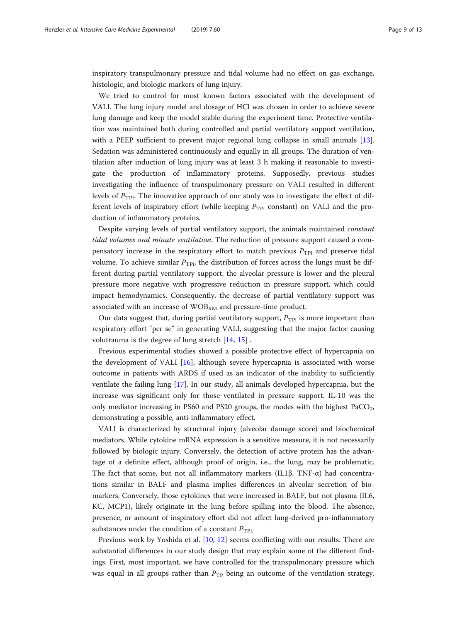inspiratory transpulmonary pressure and tidal volume had no effect on gas exchange, histologic, and biologic markers of lung injury.

We tried to control for most known factors associated with the development of VALI. The lung injury model and dosage of HCl was chosen in order to achieve severe lung damage and keep the model stable during the experiment time. Protective ventilation was maintained both during controlled and partial ventilatory support ventilation, with a PEEP sufficient to prevent major regional lung collapse in small animals [[13](#page-12-0)]. Sedation was administered continuously and equally in all groups. The duration of ventilation after induction of lung injury was at least 3 h making it reasonable to investigate the production of inflammatory proteins. Supposedly, previous studies investigating the influence of transpulmonary pressure on VALI resulted in different levels of  $P_{\text{TPI}}$ . The innovative approach of our study was to investigate the effect of different levels of inspiratory effort (while keeping  $P_{TPi}$  constant) on VALI and the production of inflammatory proteins.

Despite varying levels of partial ventilatory support, the animals maintained constant tidal volumes and minute ventilation. The reduction of pressure support caused a compensatory increase in the respiratory effort to match previous  $P_{\text{TPi}}$  and preserve tidal volume. To achieve similar  $P_{\text{Tp}_i}$ , the distribution of forces across the lungs must be different during partial ventilatory support: the alveolar pressure is lower and the pleural pressure more negative with progressive reduction in pressure support, which could impact hemodynamics. Consequently, the decrease of partial ventilatory support was associated with an increase of  $WOB_{RM}$  and pressure-time product.

Our data suggest that, during partial ventilatory support,  $P_{TPi}$  is more important than respiratory effort "per se" in generating VALI, suggesting that the major factor causing volutrauma is the degree of lung stretch [[14,](#page-12-0) [15\]](#page-12-0) .

Previous experimental studies showed a possible protective effect of hypercapnia on the development of VALI [\[16](#page-12-0)], although severe hypercapnia is associated with worse outcome in patients with ARDS if used as an indicator of the inability to sufficiently ventilate the failing lung [[17\]](#page-12-0). In our study, all animals developed hypercapnia, but the increase was significant only for those ventilated in pressure support. IL-10 was the only mediator increasing in PS60 and PS20 groups, the modes with the highest  $PaCO<sub>2</sub>$ , demonstrating a possible, anti-inflammatory effect.

VALI is characterized by structural injury (alveolar damage score) and biochemical mediators. While cytokine mRNA expression is a sensitive measure, it is not necessarily followed by biologic injury. Conversely, the detection of active protein has the advantage of a definite effect, although proof of origin, i.e., the lung, may be problematic. The fact that some, but not all inflammatory markers (IL1β, TNF-α) had concentrations similar in BALF and plasma implies differences in alveolar secretion of biomarkers. Conversely, those cytokines that were increased in BALF, but not plasma (IL6, KC, MCP1), likely originate in the lung before spilling into the blood. The absence, presence, or amount of inspiratory effort did not affect lung-derived pro-inflammatory substances under the condition of a constant  $P_{\text{TPi.}}$ 

Previous work by Yoshida et al. [[10,](#page-12-0) [12\]](#page-12-0) seems conflicting with our results. There are substantial differences in our study design that may explain some of the different findings. First, most important, we have controlled for the transpulmonary pressure which was equal in all groups rather than  $P_{TP}$  being an outcome of the ventilation strategy.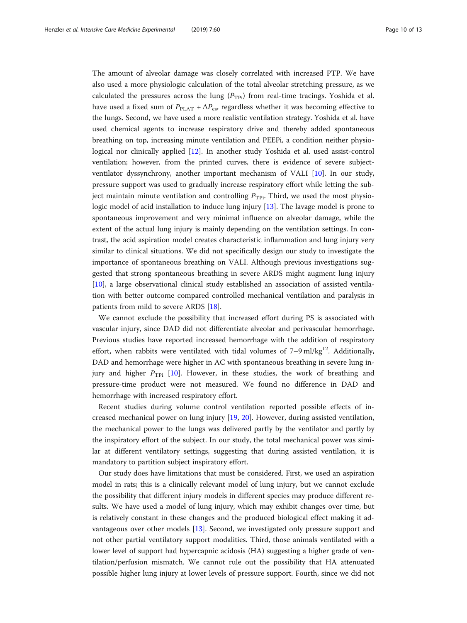The amount of alveolar damage was closely correlated with increased PTP. We have also used a more physiologic calculation of the total alveolar stretching pressure, as we calculated the pressures across the lung  $(P_{TPi})$  from real-time tracings. Yoshida et al. have used a fixed sum of  $P_{\text{PLAT}} + \Delta P_{\text{es}}$ , regardless whether it was becoming effective to the lungs. Second, we have used a more realistic ventilation strategy. Yoshida et al. have used chemical agents to increase respiratory drive and thereby added spontaneous breathing on top, increasing minute ventilation and PEEPi, a condition neither physiological nor clinically applied [[12\]](#page-12-0). In another study Yoshida et al. used assist-control ventilation; however, from the printed curves, there is evidence of severe subjectventilator dyssynchrony, another important mechanism of VALI [[10\]](#page-12-0). In our study, pressure support was used to gradually increase respiratory effort while letting the subject maintain minute ventilation and controlling  $P_{\text{TPi}}$ . Third, we used the most physiologic model of acid installation to induce lung injury [\[13](#page-12-0)]. The lavage model is prone to spontaneous improvement and very minimal influence on alveolar damage, while the extent of the actual lung injury is mainly depending on the ventilation settings. In contrast, the acid aspiration model creates characteristic inflammation and lung injury very similar to clinical situations. We did not specifically design our study to investigate the importance of spontaneous breathing on VALI. Although previous investigations suggested that strong spontaneous breathing in severe ARDS might augment lung injury [[10\]](#page-12-0), a large observational clinical study established an association of assisted ventilation with better outcome compared controlled mechanical ventilation and paralysis in patients from mild to severe ARDS [\[18](#page-12-0)].

We cannot exclude the possibility that increased effort during PS is associated with vascular injury, since DAD did not differentiate alveolar and perivascular hemorrhage. Previous studies have reported increased hemorrhage with the addition of respiratory effort, when rabbits were ventilated with tidal volumes of  $7-9$  ml/kg<sup>12</sup>. Additionally, DAD and hemorrhage were higher in AC with spontaneous breathing in severe lung injury and higher  $P_{\text{TPi}}$  [\[10](#page-12-0)]. However, in these studies, the work of breathing and pressure-time product were not measured. We found no difference in DAD and hemorrhage with increased respiratory effort.

Recent studies during volume control ventilation reported possible effects of increased mechanical power on lung injury [\[19,](#page-12-0) [20\]](#page-12-0). However, during assisted ventilation, the mechanical power to the lungs was delivered partly by the ventilator and partly by the inspiratory effort of the subject. In our study, the total mechanical power was similar at different ventilatory settings, suggesting that during assisted ventilation, it is mandatory to partition subject inspiratory effort.

Our study does have limitations that must be considered. First, we used an aspiration model in rats; this is a clinically relevant model of lung injury, but we cannot exclude the possibility that different injury models in different species may produce different results. We have used a model of lung injury, which may exhibit changes over time, but is relatively constant in these changes and the produced biological effect making it advantageous over other models [[13](#page-12-0)]. Second, we investigated only pressure support and not other partial ventilatory support modalities. Third, those animals ventilated with a lower level of support had hypercapnic acidosis (HA) suggesting a higher grade of ventilation/perfusion mismatch. We cannot rule out the possibility that HA attenuated possible higher lung injury at lower levels of pressure support. Fourth, since we did not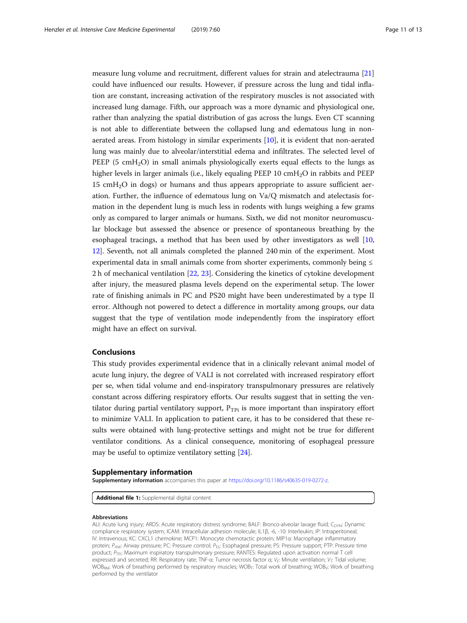<span id="page-10-0"></span>measure lung volume and recruitment, different values for strain and atelectrauma [[21](#page-12-0)] could have influenced our results. However, if pressure across the lung and tidal inflation are constant, increasing activation of the respiratory muscles is not associated with increased lung damage. Fifth, our approach was a more dynamic and physiological one, rather than analyzing the spatial distribution of gas across the lungs. Even CT scanning is not able to differentiate between the collapsed lung and edematous lung in nonaerated areas. From histology in similar experiments [[10\]](#page-12-0), it is evident that non-aerated lung was mainly due to alveolar/interstitial edema and infiltrates. The selected level of PEEP (5  $\text{cmH}_2\text{O}$ ) in small animals physiologically exerts equal effects to the lungs as higher levels in larger animals (i.e., likely equaling PEEP 10 cmH<sub>2</sub>O in rabbits and PEEP 15 cmH2O in dogs) or humans and thus appears appropriate to assure sufficient aeration. Further, the influence of edematous lung on Va/Q mismatch and atelectasis formation in the dependent lung is much less in rodents with lungs weighing a few grams only as compared to larger animals or humans. Sixth, we did not monitor neuromuscular blockage but assessed the absence or presence of spontaneous breathing by the esophageal tracings, a method that has been used by other investigators as well [[10](#page-12-0), [12](#page-12-0)]. Seventh, not all animals completed the planned 240 min of the experiment. Most experimental data in small animals come from shorter experiments, commonly being  $\leq$ 2 h of mechanical ventilation [[22,](#page-12-0) [23\]](#page-12-0). Considering the kinetics of cytokine development after injury, the measured plasma levels depend on the experimental setup. The lower rate of finishing animals in PC and PS20 might have been underestimated by a type II error. Although not powered to detect a difference in mortality among groups, our data suggest that the type of ventilation mode independently from the inspiratory effort might have an effect on survival.

#### Conclusions

This study provides experimental evidence that in a clinically relevant animal model of acute lung injury, the degree of VALI is not correlated with increased respiratory effort per se, when tidal volume and end-inspiratory transpulmonary pressures are relatively constant across differing respiratory efforts. Our results suggest that in setting the ventilator during partial ventilatory support,  $P_{\text{TPi}}$  is more important than inspiratory effort to minimize VALI. In application to patient care, it has to be considered that these results were obtained with lung-protective settings and might not be true for different ventilator conditions. As a clinical consequence, monitoring of esophageal pressure may be useful to optimize ventilatory setting [\[24](#page-12-0)].

#### Supplementary information

Supplementary information accompanies this paper at <https://doi.org/10.1186/s40635-019-0272-z>.

Additional file 1: Supplemental digital content

#### Abbreviations

ALI: Acute lung injury; ARDS: Acute respiratory distress syndrome; BALF: Bronco-alveolar lavage fluid; C<sub>DYN</sub>: Dynamic compliance respiratory system; ICAM: Intracellular adhesion molecule; IL1β, -6, -10: Interleukin; IP: Intraperitoneal; IV: Intravenous; KC: CXCL1 chemokine; MCP1: Monocyte chemotactic protein; MIP1α: Macrophage inflammatory protein; P<sub>AW</sub>: Airway pressure; PC: Pressure control; P<sub>ES</sub>: Esophageal pressure; PS: Pressure support; PTP: Pressure time product;  $P_{\text{TPi}}$ : Maximum inspiratory transpulmonary pressure; RANTES: Regulated upon activation normal T cell expressed and secreted; RR: Respiratory rate; TNF-α: Tumor necrosis factor α; V<sub>E</sub>: Minute ventilation; V<sub>T</sub>: Tidal volume; WOB<sub>RM</sub>: Work of breathing performed by respiratory muscles; WOB<sub>T</sub>: Total work of breathing; WOB<sub>V</sub>: Work of breathing performed by the ventilator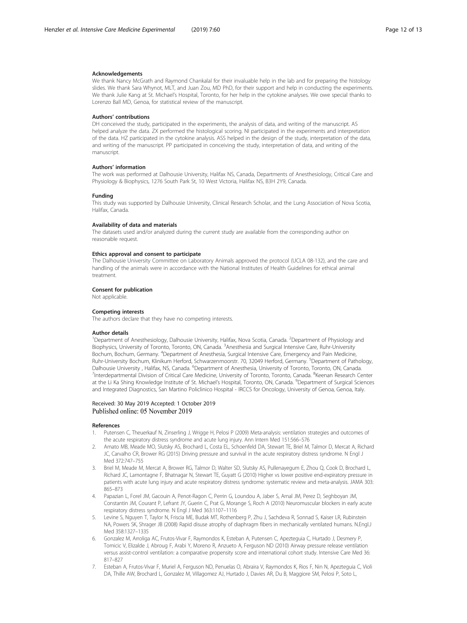#### <span id="page-11-0"></span>Acknowledgements

We thank Nancy McGrath and Raymond Chankalal for their invaluable help in the lab and for preparing the histology slides. We thank Sara Whynot, MLT, and Juan Zou, MD PhD, for their support and help in conducting the experiments. We thank Julie Kang at St. Michael's Hospital, Toronto, for her help in the cytokine analyses. We owe special thanks to Lorenzo Ball MD, Genoa, for statistical review of the manuscript.

#### Authors' contributions

DH conceived the study, participated in the experiments, the analysis of data, and writing of the manuscript. AS helped analyze the data. ZX performed the histological scoring. NI participated in the experiments and interpretation of the data. HZ participated in the cytokine analysis. ASS helped in the design of the study, interpretation of the data, and writing of the manuscript. PP participated in conceiving the study, interpretation of data, and writing of the manuscript.

#### Authors' information

The work was performed at Dalhousie University, Halifax NS, Canada, Departments of Anesthesiology, Critical Care and Physiology & Biophysics, 1276 South Park St, 10 West Victoria, Halifax NS, B3H 2Y9, Canada.

#### Funding

This study was supported by Dalhousie University, Clinical Research Scholar, and the Lung Association of Nova Scotia, Halifax, Canada.

#### Availability of data and materials

The datasets used and/or analyzed during the current study are available from the corresponding author on reasonable request.

#### Ethics approval and consent to participate

The Dalhousie University Committee on Laboratory Animals approved the protocol (UCLA 08-132), and the care and handling of the animals were in accordance with the National Institutes of Health Guidelines for ethical animal treatment.

#### Consent for publication

Not applicable.

#### Competing interests

The authors declare that they have no competing interests.

#### Author details

<sup>1</sup>Department of Anesthesiology, Dalhousie University, Halifax, Nova Scotia, Canada. <sup>2</sup>Department of Physiology and Biophysics, University of Toronto, Toronto, ON, Canada. <sup>3</sup>Anesthesia and Surgical Intensive Care, Ruhr-University Bochum, Bochum, Germany. <sup>4</sup>Department of Anesthesia, Surgical Intensive Care, Emergency and Pain Medicine, Ruhr-University Bochum, Klinikum Herford, Schwarzenmoorstr. 70, 32049 Herford, Germany. <sup>5</sup>Department of Pathology, Dalhousie University , Halifax, NS, Canada. <sup>6</sup>Department of Anesthesia, University of Toronto, Toronto, ON, Canada.<br><sup>7</sup>Interdepartmental Division of Critical Care Medicine, University of Toronto, Toronto, Canada. <sup>8</sup>Keepa Interdepartmental Division of Critical Care Medicine, University of Toronto, Toronto, Canada. <sup>8</sup>Keenan Research Center at the Li Ka Shing Knowledge Institute of St. Michael's Hospital, Toronto, ON, Canada. <sup>9</sup>Department of Surgical Sciences and Integrated Diagnostics, San Martino Policlinico Hospital - IRCCS for Oncology, University of Genoa, Genoa, Italy.

#### Received: 30 May 2019 Accepted: 1 October 2019 Published online: 05 November 2019

#### References

- 1. Putensen C, Theuerkauf N, Zinserling J, Wrigge H, Pelosi P (2009) Meta-analysis: ventilation strategies and outcomes of the acute respiratory distress syndrome and acute lung injury. Ann Intern Med 151:566–576
- 2. Amato MB, Meade MO, Slutsky AS, Brochard L, Costa EL, Schoenfeld DA, Stewart TE, Briel M, Talmor D, Mercat A, Richard JC, Carvalho CR, Brower RG (2015) Driving pressure and survival in the acute respiratory distress syndrome. N Engl J Med 372:747–755
- 3. Briel M, Meade M, Mercat A, Brower RG, Talmor D, Walter SD, Slutsky AS, Pullenayegum E, Zhou Q, Cook D, Brochard L, Richard JC, Lamontagne F, Bhatnagar N, Stewart TE, Guyatt G (2010) Higher vs lower positive end-expiratory pressure in patients with acute lung injury and acute respiratory distress syndrome: systematic review and meta-analysis. JAMA 303: 865–873
- 4. Papazian L, Forel JM, Gacouin A, Penot-Ragon C, Perrin G, Loundou A, Jaber S, Arnal JM, Perez D, Seghboyan JM, Constantin JM, Courant P, Lefrant JY, Guerin C, Prat G, Morange S, Roch A (2010) Neuromuscular blockers in early acute respiratory distress syndrome. N Engl J Med 363:1107–1116
- 5. Levine S, Nguyen T, Taylor N, Friscia ME, Budak MT, Rothenberg P, Zhu J, Sachdeva R, Sonnad S, Kaiser LR, Rubinstein NA, Powers SK, Shrager JB (2008) Rapid disuse atrophy of diaphragm fibers in mechanically ventilated humans. N.Engl.J Med 358:1327–1335
- 6. Gonzalez M, Arroliga AC, Frutos-Vivar F, Raymondos K, Esteban A, Putensen C, Apezteguia C, Hurtado J, Desmery P, Tomicic V, Elizalde J, Abroug F, Arabi Y, Moreno R, Anzueto A, Ferguson ND (2010) Airway pressure release ventilation versus assist-control ventilation: a comparative propensity score and international cohort study. Intensive Care Med 36: 817–827
- 7. Esteban A, Frutos-Vivar F, Muriel A, Ferguson ND, Penuelas O, Abraira V, Raymondos K, Rios F, Nin N, Apezteguia C, Violi DA, Thille AW, Brochard L, Gonzalez M, Villagomez AJ, Hurtado J, Davies AR, Du B, Maggiore SM, Pelosi P, Soto L,